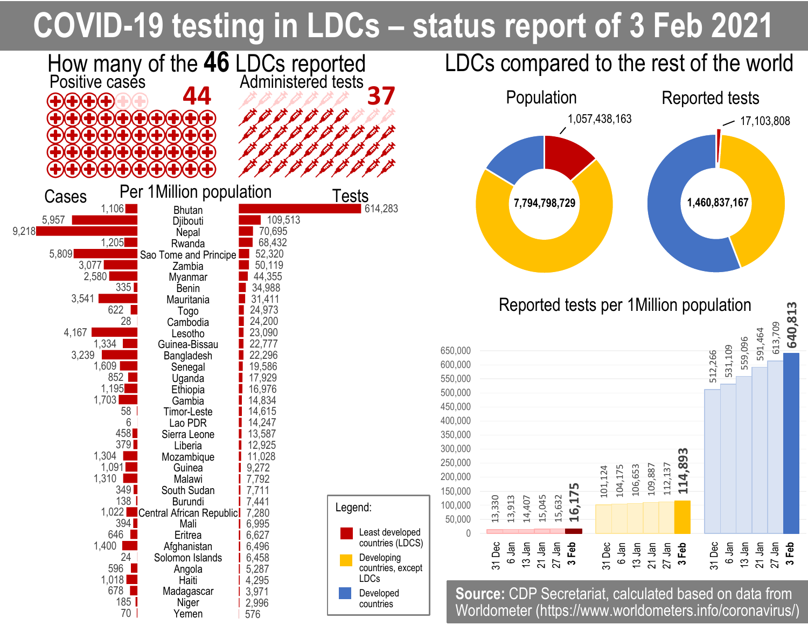## **COVID-19 testing in LDCs – status report of 3 Feb 2021**



559,096

591,464

613,709

13 Jan 21 Jan 27 Jan **3 Feb**

**640,813**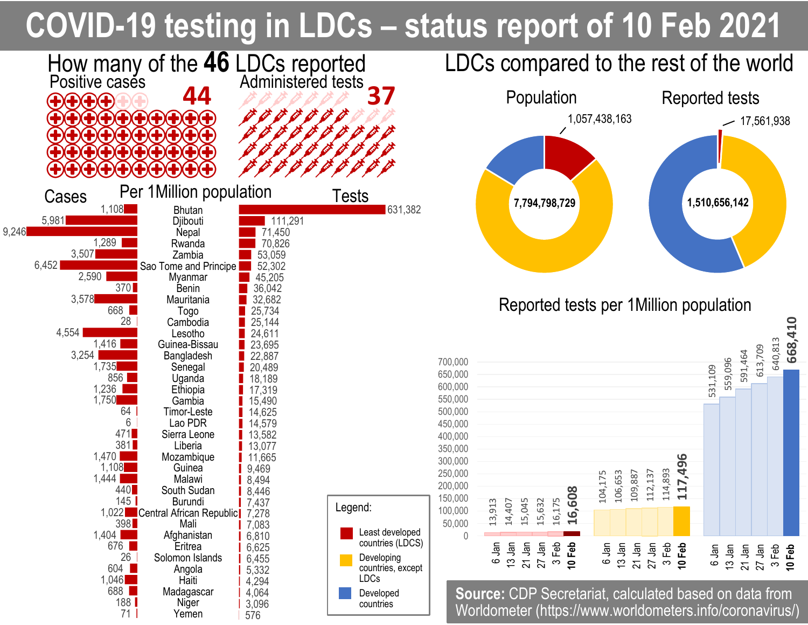## **COVID-19 testing in LDCs – status report of 10 Feb 2021**

**1,510,656,142**

531,109

112,137

114,893

**117,496**

559,096

591,464

6 Jan 13 Jan 21 Jan 27 Jan 3 Feb

**10 Feb**

613,709

640,813

**668,410**

 $-17,561,938$ 

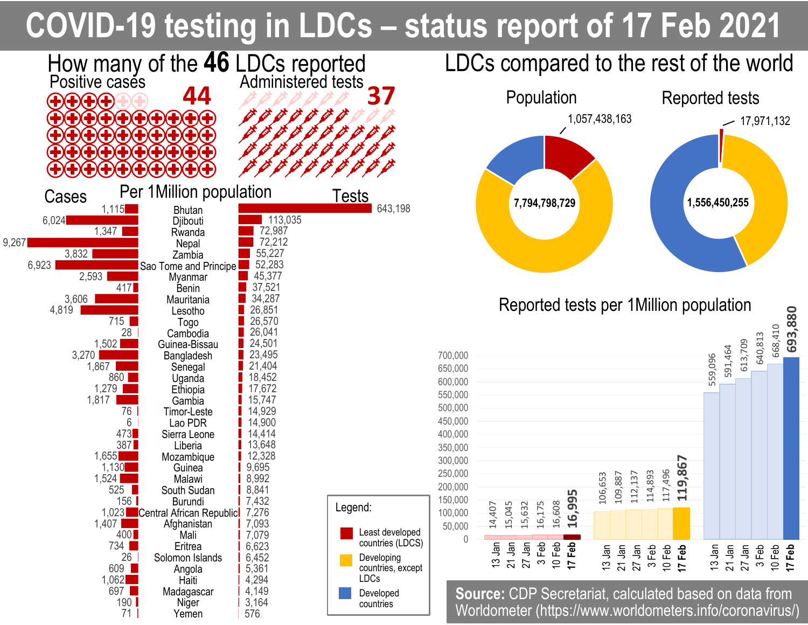## **COVID-19 testing in LDCs – status report of 17 Feb 2021**



640,813

3 Feb 10 Feb **17 Feb**

668,410

**693,880**